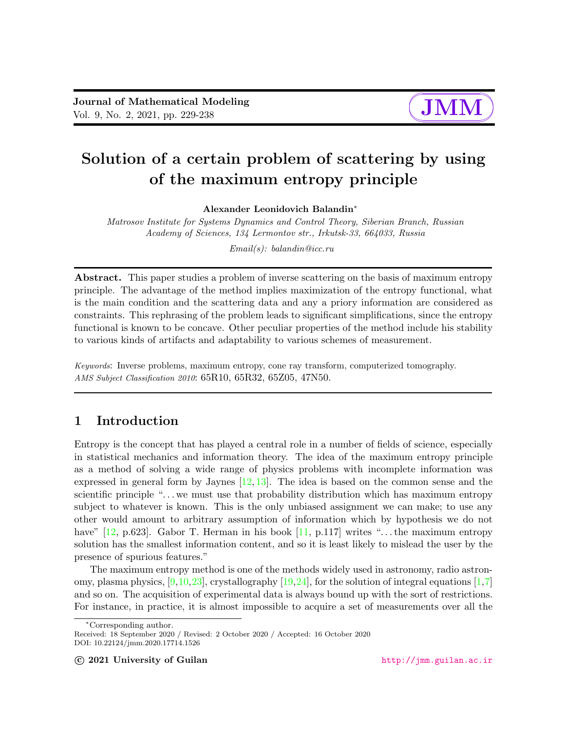# $\sqrt{a}$ ✚

✘

✙

## Solution of a certain problem of scattering by using of the maximum entropy principle

Alexander Leonidovich Balandin<sup>∗</sup>

Matrosov Institute for Systems Dynamics and Control Theory, Siberian Branch, Russian Academy of Sciences, 134 Lermontov str., Irkutsk-33, 664033, Russia

Email(s): balandin@icc.ru

Abstract. This paper studies a problem of inverse scattering on the basis of maximum entropy principle. The advantage of the method implies maximization of the entropy functional, what is the main condition and the scattering data and any a priory information are considered as constraints. This rephrasing of the problem leads to significant simplifications, since the entropy functional is known to be concave. Other peculiar properties of the method include his stability to various kinds of artifacts and adaptability to various schemes of measurement.

Keywords: Inverse problems, maximum entropy, cone ray transform, computerized tomography. AMS Subject Classification 2010: 65R10, 65R32, 65Z05, 47N50.

### 1 Introduction

Entropy is the concept that has played a central role in a number of fields of science, especially in statistical mechanics and information theory. The idea of the maximum entropy principle as a method of solving a wide range of physics problems with incomplete information was expressed in general form by Jaynes  $[12, 13]$  $[12, 13]$  $[12, 13]$ . The idea is based on the common sense and the scientific principle ". . . we must use that probability distribution which has maximum entropy subject to whatever is known. This is the only unbiased assignment we can make; to use any other would amount to arbitrary assumption of information which by hypothesis we do not have"  $[12, p.623]$  $[12, p.623]$ . Gabor T. Herman in his book  $[11, p.117]$  $[11, p.117]$  writes "... the maximum entropy solution has the smallest information content, and so it is least likely to mislead the user by the presence of spurious features."

The maximum entropy method is one of the methods widely used in astronomy, radio astronomy, plasma physics,  $[9,10,23]$  $[9,10,23]$  $[9,10,23]$ , crystallography  $[19,24]$  $[19,24]$ , for the solution of integral equations  $[1,7]$  $[1,7]$ and so on. The acquisition of experimental data is always bound up with the sort of restrictions. For instance, in practice, it is almost impossible to acquire a set of measurements over all the

<sup>∗</sup>Corresponding author.

Received: 18 September 2020 / Revised: 2 October 2020 / Accepted: 16 October 2020 DOI: 10.22124/jmm.2020.17714.1526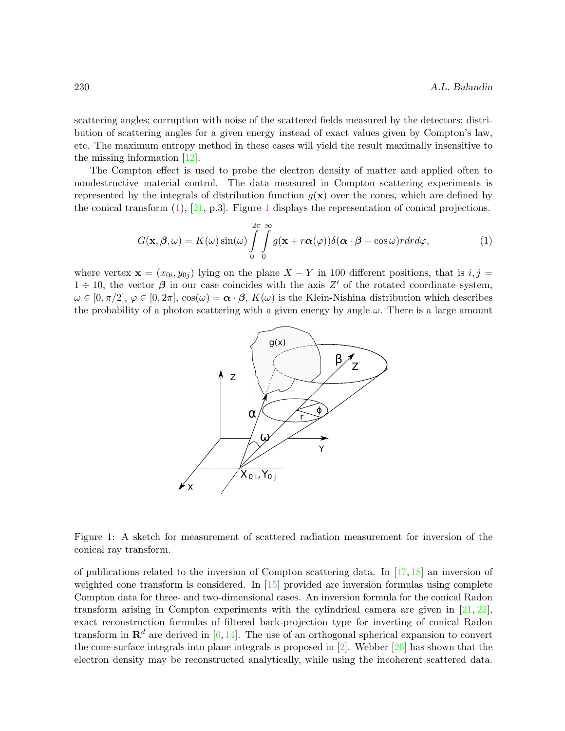scattering angles; corruption with noise of the scattered fields measured by the detectors; distribution of scattering angles for a given energy instead of exact values given by Compton's law, etc. The maximum entropy method in these cases will yield the result maximally insensitive to the missing information [\[12\]](#page-8-0).

The Compton effect is used to probe the electron density of matter and applied often to nondestructive material control. The data measured in Compton scattering experiments is represented by the integrals of distribution function  $g(x)$  over the cones, which are defined by the conical transform  $(1)$ ,  $[21, p.3]$  $[21, p.3]$ . Figure [1](#page-1-0) displays the representation of conical projections.

<span id="page-1-0"></span>
$$
G(\mathbf{x}, \boldsymbol{\beta}, \omega) = K(\omega) \sin(\omega) \int_{0}^{2\pi} \int_{0}^{\infty} g(\mathbf{x} + r\boldsymbol{\alpha}(\varphi)) \delta(\boldsymbol{\alpha} \cdot \boldsymbol{\beta} - \cos \omega) r dr d\varphi, \tag{1}
$$

where vertex  $\mathbf{x} = (x_{0i}, y_{0j})$  lying on the plane  $X - Y$  in 100 different positions, that is  $i, j =$  $1 \div 10$ , the vector  $\beta$  in our case coincides with the axis Z' of the rotated coordinate system,  $\omega \in [0, \pi/2], \varphi \in [0, 2\pi], \cos(\omega) = \alpha \cdot \beta, K(\omega)$  is the Klein-Nishina distribution which describes the probability of a photon scattering with a given energy by angle  $\omega$ . There is a large amount



Figure 1: A sketch for measurement of scattered radiation measurement for inversion of the conical ray transform.

of publications related to the inversion of Compton scattering data. In  $[17, 18]$  $[17, 18]$  $[17, 18]$  an inversion of weighted cone transform is considered. In [\[15\]](#page-9-6) provided are inversion formulas using complete Compton data for three- and two-dimensional cases. An inversion formula for the conical Radon transform arising in Compton experiments with the cylindrical camera are given in  $[21, 22]$  $[21, 22]$  $[21, 22]$ , exact reconstruction formulas of filtered back-projection type for inverting of conical Radon transform in  $\mathbb{R}^d$  are derived in [\[6,](#page-8-7) [14\]](#page-9-8). The use of an orthogonal spherical expansion to convert the cone-surface integrals into plane integrals is proposed in [\[2\]](#page-8-8). Webber [\[26\]](#page-9-9) has shown that the electron density may be reconstructed analytically, while using the incoherent scattered data.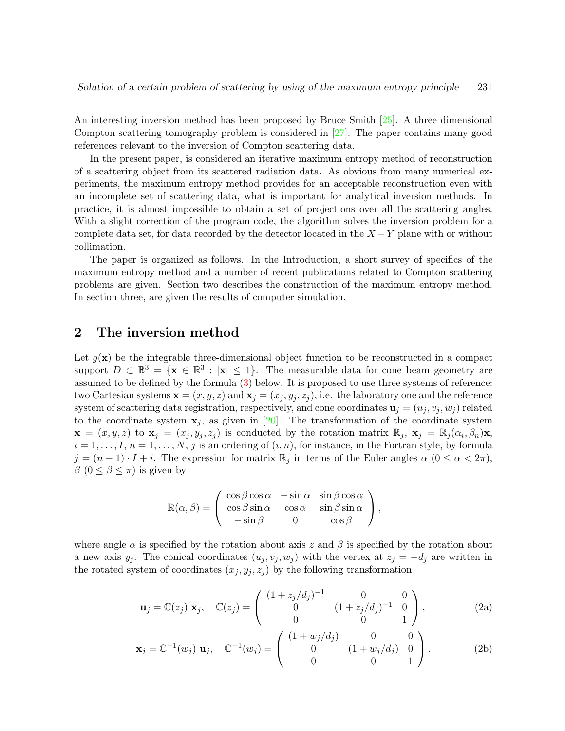An interesting inversion method has been proposed by Bruce Smith [\[25\]](#page-9-10). A three dimensional Compton scattering tomography problem is considered in [\[27\]](#page-9-11). The paper contains many good references relevant to the inversion of Compton scattering data.

In the present paper, is considered an iterative maximum entropy method of reconstruction of a scattering object from its scattered radiation data. As obvious from many numerical experiments, the maximum entropy method provides for an acceptable reconstruction even with an incomplete set of scattering data, what is important for analytical inversion methods. In practice, it is almost impossible to obtain a set of projections over all the scattering angles. With a slight correction of the program code, the algorithm solves the inversion problem for a complete data set, for data recorded by the detector located in the  $X - Y$  plane with or without collimation.

The paper is organized as follows. In the Introduction, a short survey of specifics of the maximum entropy method and a number of recent publications related to Compton scattering problems are given. Section two describes the construction of the maximum entropy method. In section three, are given the results of computer simulation.

#### 2 The inversion method

Let  $g(\mathbf{x})$  be the integrable three-dimensional object function to be reconstructed in a compact support  $D \subset \mathbb{B}^3 = {\mathbf{x} \in \mathbb{R}^3 : |\mathbf{x}| \leq 1}.$  The measurable data for cone beam geometry are assumed to be defined by the formula [\(3\)](#page-3-0) below. It is proposed to use three systems of reference: two Cartesian systems  $\mathbf{x} = (x, y, z)$  and  $\mathbf{x}_j = (x_j, y_j, z_j)$ , i.e. the laboratory one and the reference system of scattering data registration, respectively, and cone coordinates  $\mathbf{u}_i = (u_i, v_i, w_i)$  related to the coordinate system  $x_j$ , as given in [\[20\]](#page-9-12). The transformation of the coordinate system  $\mathbf{x} = (x, y, z)$  to  $\mathbf{x}_j = (x_j, y_j, z_j)$  is conducted by the rotation matrix  $\mathbb{R}_j$ ,  $\mathbf{x}_j = \mathbb{R}_j(\alpha_i, \beta_n)\mathbf{x}$ ,  $i = 1, \ldots, I, n = 1, \ldots, N, j$  is an ordering of  $(i, n)$ , for instance, in the Fortran style, by formula  $j = (n-1) \cdot I + i$ . The expression for matrix  $\mathbb{R}_j$  in terms of the Euler angles  $\alpha$   $(0 \le \alpha < 2\pi)$ ,  $\beta$  (0  $\leq \beta \leq \pi$ ) is given by

$$
\mathbb{R}(\alpha,\beta) = \begin{pmatrix} \cos\beta\cos\alpha & -\sin\alpha & \sin\beta\cos\alpha \\ \cos\beta\sin\alpha & \cos\alpha & \sin\beta\sin\alpha \\ -\sin\beta & 0 & \cos\beta \end{pmatrix},
$$

where angle  $\alpha$  is specified by the rotation about axis z and  $\beta$  is specified by the rotation about a new axis  $y_j$ . The conical coordinates  $(u_j, v_j, w_j)$  with the vertex at  $z_j = -d_j$  are written in the rotated system of coordinates  $(x_j, y_j, z_j)$  by the following transformation

<span id="page-2-0"></span>
$$
\mathbf{u}_{j} = \mathbb{C}(z_{j}) \mathbf{x}_{j}, \quad \mathbb{C}(z_{j}) = \begin{pmatrix} (1 + z_{j}/d_{j})^{-1} & 0 & 0 \ 0 & (1 + z_{j}/d_{j})^{-1} & 0 \ 0 & 0 & 1 \end{pmatrix}, \quad (2a)
$$

$$
\mathbf{x}_{j} = \mathbb{C}^{-1}(w_{j}) \mathbf{u}_{j}, \quad \mathbb{C}^{-1}(w_{j}) = \begin{pmatrix} (1 + w_{j}/d_{j}) & 0 & 0 \\ 0 & (1 + w_{j}/d_{j}) & 0 \\ 0 & 0 & 1 \end{pmatrix}.
$$
 (2b)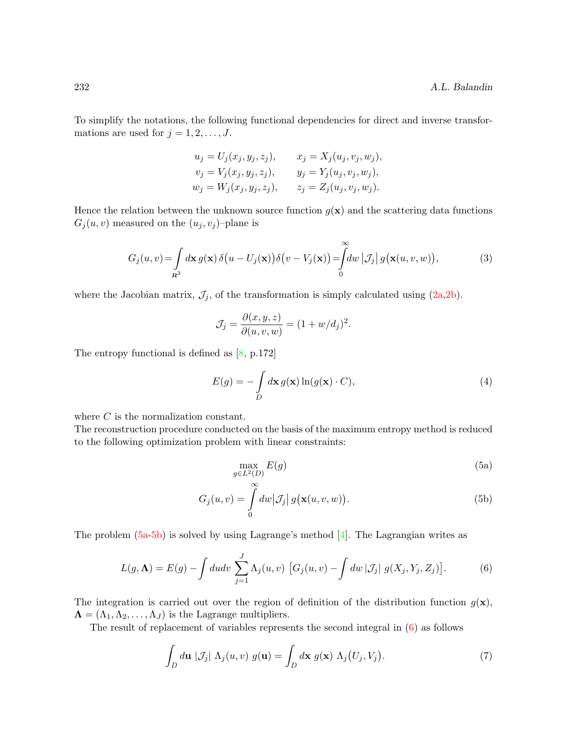To simplify the notations, the following functional dependencies for direct and inverse transformations are used for  $j = 1, 2, \ldots, J$ .

<span id="page-3-0"></span>
$$
u_j = U_j(x_j, y_j, z_j), \t x_j = X_j(u_j, v_j, w_j),
$$
  

$$
v_j = V_j(x_j, y_j, z_j), \t y_j = Y_j(u_j, v_j, w_j),
$$
  

$$
w_j = W_j(x_j, y_j, z_j), \t z_j = Z_j(u_j, v_j, w_j).
$$

Hence the relation between the unknown source function  $g(x)$  and the scattering data functions  $G_i(u, v)$  measured on the  $(u_i, v_j)$ -plane is

$$
G_j(u,v) = \int_{R^3} d\mathbf{x} g(\mathbf{x}) \, \delta\big(u - U_j(\mathbf{x})\big) \delta\big(v - V_j(\mathbf{x})\big) = \int_0^\infty dw \, \big|\mathcal{J}_j\big| \, g\big(\mathbf{x}(u,v,w)\big),\tag{3}
$$

where the Jacobian matrix,  $\mathcal{J}_j$ , of the transformation is simply calculated using  $(2a,2b)$ .

$$
\mathcal{J}_j = \frac{\partial(x, y, z)}{\partial(u, v, w)} = (1 + w/d_j)^2
$$

The entropy functional is defined as [\[8,](#page-8-9) p.172]

$$
E(g) = -\int_{D} d\mathbf{x} \, g(\mathbf{x}) \ln(g(\mathbf{x}) \cdot C), \tag{4}
$$

.

where C is the normalization constant.

The reconstruction procedure conducted on the basis of the maximum entropy method is reduced to the following optimization problem with linear constraints:

<span id="page-3-1"></span>
$$
\max_{g \in L^2(D)} E(g) \tag{5a}
$$

$$
G_j(u, v) = \int_{0}^{\infty} dw \, |\mathcal{J}_j| \, g(\mathbf{x}(u, v, w)). \tag{5b}
$$

The problem  $(5a-5b)$  is solved by using Lagrange's method [\[4\]](#page-8-10). The Lagrangian writes as

<span id="page-3-2"></span>
$$
L(g,\Lambda) = E(g) - \int du dv \sum_{j=1}^{J} \Lambda_j(u,v) \left[ G_j(u,v) - \int dw | \mathcal{J}_j| g(X_j,Y_j,Z_j) \right].
$$
 (6)

The integration is carried out over the region of definition of the distribution function  $g(x)$ ,  $\Lambda = (\Lambda_1, \Lambda_2, \ldots, \Lambda_J)$  is the Lagrange multipliers.

The result of replacement of variables represents the second integral in [\(6\)](#page-3-2) as follows

$$
\int_{D} d\mathbf{u} \, |\mathcal{J}_j| \, \Lambda_j(u, v) \, g(\mathbf{u}) = \int_{D} d\mathbf{x} \, g(\mathbf{x}) \, \Lambda_j(U_j, V_j). \tag{7}
$$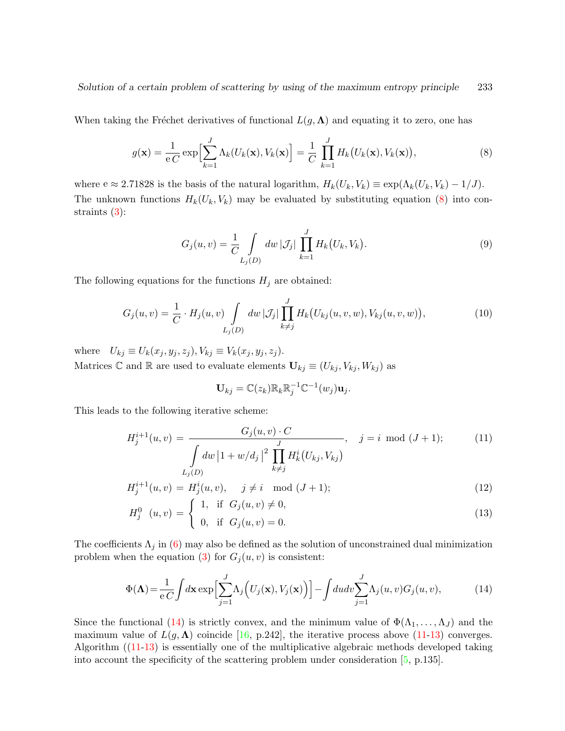When taking the Fréchet derivatives of functional  $L(g, \Lambda)$  and equating it to zero, one has

<span id="page-4-0"></span>
$$
g(\mathbf{x}) = \frac{1}{eC} \exp\Bigl[\sum_{k=1}^{J} \Lambda_k(U_k(\mathbf{x}), V_k(\mathbf{x})\Bigr] = \frac{1}{C} \prod_{k=1}^{J} H_k(U_k(\mathbf{x}), V_k(\mathbf{x})),
$$
\n(8)

where  $e \approx 2.71828$  is the basis of the natural logarithm,  $H_k(U_k, V_k) \equiv \exp(\Lambda_k(U_k, V_k) - 1/J)$ . The unknown functions  $H_k(U_k, V_k)$  may be evaluated by substituting equation [\(8\)](#page-4-0) into constraints [\(3\)](#page-3-0):

$$
G_j(u, v) = \frac{1}{C} \int_{L_j(D)} dw \, |\mathcal{J}_j| \, \prod_{k=1}^J H_k(U_k, V_k). \tag{9}
$$

The following equations for the functions  $H_j$  are obtained:

$$
G_j(u, v) = \frac{1}{C} \cdot H_j(u, v) \int_{L_j(D)} dw \, |\mathcal{J}_j| \prod_{k \neq j}^J H_k(U_{kj}(u, v, w), V_{kj}(u, v, w)), \tag{10}
$$

where  $U_{kj} \equiv U_k(x_j, y_j, z_j), V_{kj} \equiv V_k(x_j, y_j, z_j).$ Matrices  $\mathbb C$  and  $\mathbb R$  are used to evaluate elements  $\mathbf{U}_{kj} \equiv (U_{kj}, V_{kj}, W_{kj})$  as

$$
\mathbf{U}_{kj}=\mathbb{C}(z_k)\mathbb{R}_k\mathbb{R}_j^{-1}\mathbb{C}^{-1}(w_j)\mathbf{u}_j.
$$

This leads to the following iterative scheme:

<span id="page-4-2"></span>
$$
H_j^{i+1}(u, v) = \frac{G_j(u, v) \cdot C}{\int_{L_j(D)} dw \, |1 + w/d_j|^2 \prod_{k \neq j}^J H_k^i(U_{kj}, V_{kj})}, \quad j = i \mod (J+1); \tag{11}
$$

$$
H_j^{i+1}(u, v) = H_j^i(u, v), \quad j \neq i \mod (J+1);
$$
\n(12)

$$
H_j^0(u, v) = \begin{cases} 1, & \text{if } G_j(u, v) \neq 0, \\ 0, & \text{if } G_j(u, v) = 0. \end{cases}
$$
 (13)

The coefficients  $\Lambda_j$  in [\(6\)](#page-3-2) may also be defined as the solution of unconstrained dual minimization problem when the equation [\(3\)](#page-3-0) for  $G_j(u, v)$  is consistent:

<span id="page-4-1"></span>
$$
\Phi(\mathbf{\Lambda}) = \frac{1}{eC} \int d\mathbf{x} \exp\Big[\sum_{j=1}^{J} \Lambda_j \Big(U_j(\mathbf{x}), V_j(\mathbf{x})\Big)\Big] - \int du dv \sum_{j=1}^{J} \Lambda_j(u, v) G_j(u, v),\tag{14}
$$

Since the functional [\(14\)](#page-4-1) is strictly convex, and the minimum value of  $\Phi(\Lambda_1, \ldots, \Lambda_J)$  and the maximum value of  $L(g, \Lambda)$  coincide [\[16,](#page-9-13) p.242], the iterative process above [\(11-13\)](#page-4-2) converges. Algorithm ([\(11-13\)](#page-4-2) is essentially one of the multiplicative algebraic methods developed taking into account the specificity of the scattering problem under consideration [\[5,](#page-8-11) p.135].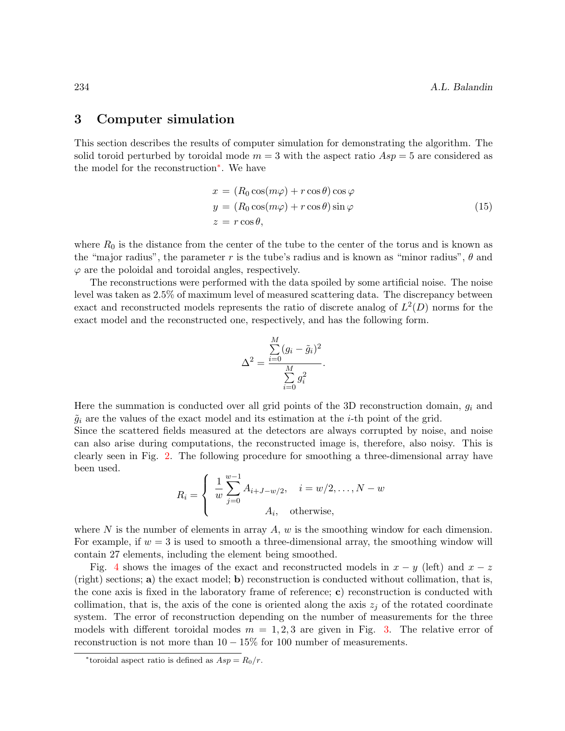#### 3 Computer simulation

This section describes the results of computer simulation for demonstrating the algorithm. The solid toroid perturbed by toroidal mode  $m = 3$  with the aspect ratio  $Asp = 5$  are considered as the model for the reconstruction[∗](#page-5-0) . We have

$$
x = (R_0 \cos(m\varphi) + r \cos \theta) \cos \varphi
$$
  
\n
$$
y = (R_0 \cos(m\varphi) + r \cos \theta) \sin \varphi
$$
  
\n
$$
z = r \cos \theta,
$$
\n(15)

where  $R_0$  is the distance from the center of the tube to the center of the torus and is known as the "major radius", the parameter r is the tube's radius and is known as "minor radius",  $\theta$  and  $\varphi$  are the poloidal and toroidal angles, respectively.

The reconstructions were performed with the data spoiled by some artificial noise. The noise level was taken as 2.5% of maximum level of measured scattering data. The discrepancy between exact and reconstructed models represents the ratio of discrete analog of  $L^2(D)$  norms for the exact model and the reconstructed one, respectively, and has the following form.

$$
\Delta^2 = \frac{\sum_{i=0}^M (g_i - \tilde{g}_i)^2}{\sum_{i=0}^M g_i^2}.
$$

Here the summation is conducted over all grid points of the 3D reconstruction domain,  $g_i$  and  $\tilde{g}_i$  are the values of the exact model and its estimation at the *i*-th point of the grid.

Since the scattered fields measured at the detectors are always corrupted by noise, and noise can also arise during computations, the reconstructed image is, therefore, also noisy. This is clearly seen in Fig. [2.](#page-6-0) The following procedure for smoothing a three-dimensional array have been used.

$$
R_i = \begin{cases} \frac{1}{w} \sum_{j=0}^{w-1} A_{i+J-w/2}, & i = w/2, \dots, N-w \\ A_i, & \text{otherwise,} \end{cases}
$$

where N is the number of elements in array  $A, w$  is the smoothing window for each dimension. For example, if  $w = 3$  is used to smooth a three-dimensional array, the smoothing window will contain 27 elements, including the element being smoothed.

Fig. [4](#page-7-0) shows the images of the exact and reconstructed models in  $x - y$  (left) and  $x - z$ (right) sections; a) the exact model; b) reconstruction is conducted without collimation, that is, the cone axis is fixed in the laboratory frame of reference; c) reconstruction is conducted with collimation, that is, the axis of the cone is oriented along the axis  $z_i$  of the rotated coordinate system. The error of reconstruction depending on the number of measurements for the three models with different toroidal modes  $m = 1, 2, 3$  are given in Fig. [3.](#page-6-1) The relative error of reconstruction is not more than  $10 - 15\%$  for 100 number of measurements.

<span id="page-5-0"></span><sup>\*</sup>toroidal aspect ratio is defined as  $Asp = R_0/r$ .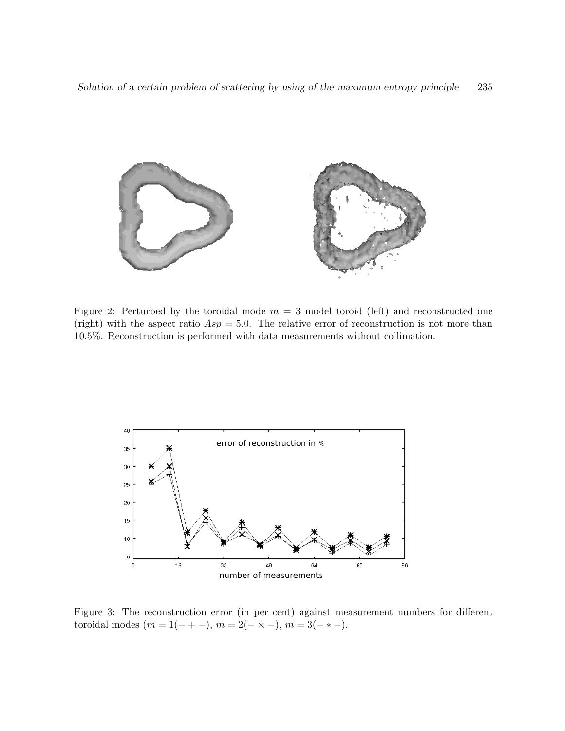

<span id="page-6-0"></span>Figure 2: Perturbed by the toroidal mode  $m = 3$  model toroid (left) and reconstructed one (right) with the aspect ratio  $Asp = 5.0$ . The relative error of reconstruction is not more than 10.5%. Reconstruction is performed with data measurements without collimation.



<span id="page-6-1"></span>Figure 3: The reconstruction error (in per cent) against measurement numbers for different toroidal modes  $(m = 1(- + -), m = 2(- \times -), m = 3(- * -).$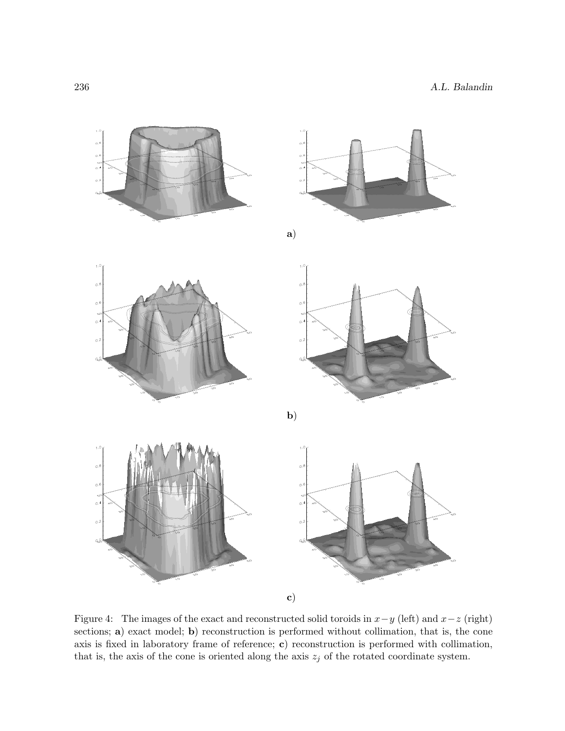

<span id="page-7-0"></span>Figure 4: The images of the exact and reconstructed solid toroids in  $x-y$  (left) and  $x-z$  (right) sections; a) exact model; **b**) reconstruction is performed without collimation, that is, the cone axis is fixed in laboratory frame of reference; c) reconstruction is performed with collimation, that is, the axis of the cone is oriented along the axis  $z_j$  of the rotated coordinate system.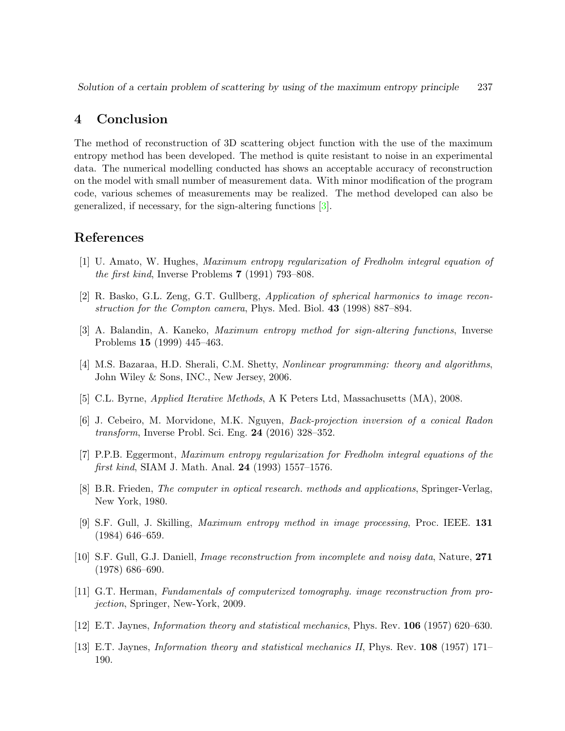### 4 Conclusion

The method of reconstruction of 3D scattering object function with the use of the maximum entropy method has been developed. The method is quite resistant to noise in an experimental data. The numerical modelling conducted has shows an acceptable accuracy of reconstruction on the model with small number of measurement data. With minor modification of the program code, various schemes of measurements may be realized. The method developed can also be generalized, if necessary, for the sign-altering functions [\[3\]](#page-8-12).

#### References

- <span id="page-8-5"></span>[1] U. Amato, W. Hughes, Maximum entropy regularization of Fredholm integral equation of the first kind, Inverse Problems 7 (1991) 793–808.
- <span id="page-8-8"></span>[2] R. Basko, G.L. Zeng, G.T. Gullberg, Application of spherical harmonics to image reconstruction for the Compton camera, Phys. Med. Biol. 43 (1998) 887–894.
- <span id="page-8-12"></span>[3] A. Balandin, A. Kaneko, Maximum entropy method for sign-altering functions, Inverse Problems 15 (1999) 445–463.
- <span id="page-8-10"></span>[4] M.S. Bazaraa, H.D. Sherali, C.M. Shetty, Nonlinear programming: theory and algorithms, John Wiley & Sons, INC., New Jersey, 2006.
- <span id="page-8-11"></span>[5] C.L. Byrne, Applied Iterative Methods, A K Peters Ltd, Massachusetts (MA), 2008.
- <span id="page-8-7"></span>[6] J. Cebeiro, M. Morvidone, M.K. Nguyen, Back-projection inversion of a conical Radon transform, Inverse Probl. Sci. Eng. 24 (2016) 328–352.
- <span id="page-8-6"></span>[7] P.P.B. Eggermont, Maximum entropy regularization for Fredholm integral equations of the first kind, SIAM J. Math. Anal. 24 (1993) 1557–1576.
- <span id="page-8-9"></span>[8] B.R. Frieden, The computer in optical research. methods and applications, Springer-Verlag, New York, 1980.
- <span id="page-8-3"></span>[9] S.F. Gull, J. Skilling, Maximum entropy method in image processing, Proc. IEEE. 131 (1984) 646–659.
- <span id="page-8-4"></span>[10] S.F. Gull, G.J. Daniell, Image reconstruction from incomplete and noisy data, Nature, 271 (1978) 686–690.
- <span id="page-8-2"></span>[11] G.T. Herman, Fundamentals of computerized tomography. image reconstruction from projection, Springer, New-York, 2009.
- <span id="page-8-0"></span>[12] E.T. Jaynes, Information theory and statistical mechanics, Phys. Rev. 106 (1957) 620–630.
- <span id="page-8-1"></span>[13] E.T. Jaynes, Information theory and statistical mechanics II, Phys. Rev. 108 (1957) 171– 190.